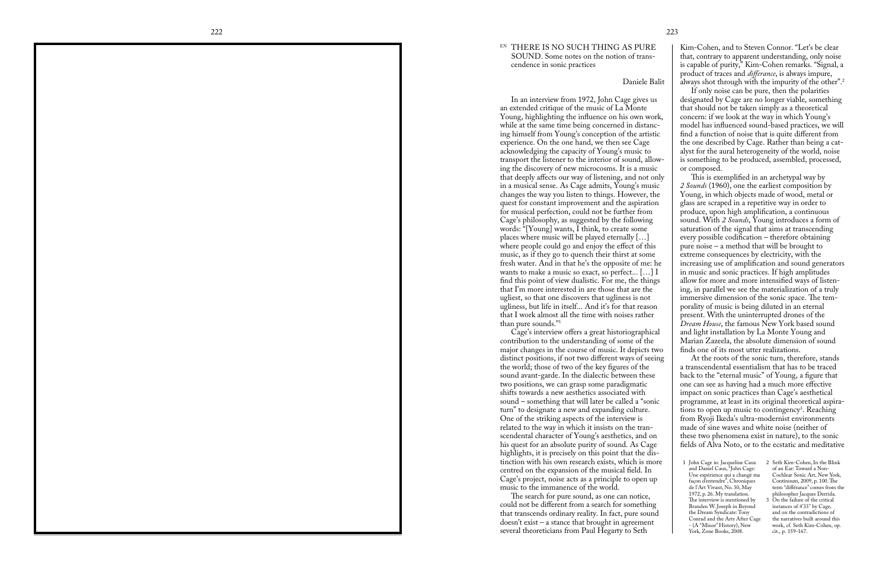This is exemplified in an archetypal way by *2 Sounds* (1960), one the earliest composition by Young, in which objects made of wood, metal or glass are scraped in a repetitive way in order to produce, upon high amplification, a continuous sound. With *2 Sounds*, Young introduces a form of saturation of the signal that aims at transcending every possible codification – therefore obtaining pure noise – a method that will be brought to extreme consequences by electricity, with the increasing use of amplification and sound generators in music and sonic practices. If high amplitudes allow for more and more intensified ways of listening, in parallel we see the materialization of a truly immersive dimension of the sonic space. The temporality of music is being diluted in an eternal present. With the uninterrupted drones of the *Dream House*, the famous New York based sound and light installation by La Monte Young and Marian Zazeela, the absolute dimension of sound finds one of its most utter realizations.

## EN THERE IS NO SUCH THING AS PURE SOUND. Some notes on the notion of transcendence in sonic practices

## Daniele Balit

Cage's interview offers a great historiographical contribution to the understanding of some of the major changes in the course of music. It depicts two distinct positions, if not two different ways of seeing the world; those of two of the key figures of the sound avant-garde. In the dialectic between these two positions, we can grasp some paradigmatic shifts towards a new aesthetics associated with sound – something that will later be called a "sonic turn" to designate a new and expanding culture. One of the striking aspects of the interview is related to the way in which it insists on the transcendental character of Young's aesthetics, and on his quest for an absolute purity of sound. As Cage highlights, it is precisely on this point that the distinction with his own research exists, which is more centred on the expansion of the musical field. In Cage's project, noise acts as a principle to open up music to the immanence of the world.

The search for pure sound, as one can notice, could not be different from a search for something that transcends ordinary reality. In fact, pure sound doesn't exist – a stance that brought in agreement several theoreticians from Paul Hegarty to Seth

In an interview from 1972, John Cage gives us an extended critique of the music of La Monte Young, highlighting the influence on his own work, while at the same time being concerned in distancing himself from Young's conception of the artistic experience. On the one hand, we then see Cage acknowledging the capacity of Young's music to transport the listener to the interior of sound, allowing the discovery of new microcosms. It is a music that deeply affects our way of listening, and not only in a musical sense. As Cage admits, Young's music changes the way you listen to things. However, the quest for constant improvement and the aspiration for musical perfection, could not be further from Cage's philosophy, as suggested by the following words: "[Young] wants, I think, to create some places where music will be played eternally […] where people could go and enjoy the effect of this music, as if they go to quench their thirst at some fresh water. And in that he's the opposite of me: he wants to make a music so exact, so perfect... […] I find this point of view dualistic. For me, the things that I'm more interested in are those that are the ugliest, so that one discovers that ugliness is not ugliness, but life in itself... And it's for that reason that I work almost all the time with noises rather than pure sounds."1

> At the roots of the sonic turn, therefore, stands a transcendental essentialism that has to be traced back to the "eternal music" of Young, a figure that one can see as having had a much more effective impact on sonic practices than Cage's aesthetical programme, at least in its original theoretical aspirations to open up music to contingency<sup>3</sup>. Reaching from Ryoji Ikeda's ultra-modernist environments made of sine waves and white noise (neither of these two phenomena exist in nature), to the sonic fields of Alva Noto, or to the ecstatic and meditative

> Kim-Cohen, and to Steven Connor. "Let's be clear that, contrary to apparent understanding, only noise is capable of purity," Kim-Cohen remarks. "Signal, a product of traces and *differance*, is always impure, always shot through with the impurity of the other".<sup>2</sup> If only noise can be pure, then the polarities designated by Cage are no longer viable, something that should not be taken simply as a theoretical concern: if we look at the way in which Young's model has influenced sound-based practices, we will find a function of noise that is quite different from the one described by Cage. Rather than being a catalyst for the aural heterogeneity of the world, noise is something to be produced, assembled, processed, or composed.

1 John Cage in: Jacqueline Caux and Daniel Caux, "John Cage: Une expérience qui a changé ma façon d'entendre", Chroniques de l'Art Vivant, No. 30, May 1972, p. 26. My translation. The interview is mentioned by Branden W. Joseph in Beyond the Dream Syndicate: Tony Conrad and the Arts After Cage - (A "Minor" History), New York, Zone Books, 2008.

2 Seth Kim-Cohen, In the Blink of an Ear: Toward a Non-Cochlear Sonic Art, New York, Continuum, 2009, p. 100. The term "différance" comes from the philosopher Jacques Derrida.

3 On the failure of the critical instances of 4'33'' by Cage, and on the contradictions of the narratives built around this work, cf. Seth Kim-Cohen, op. cit., p. 159-167.